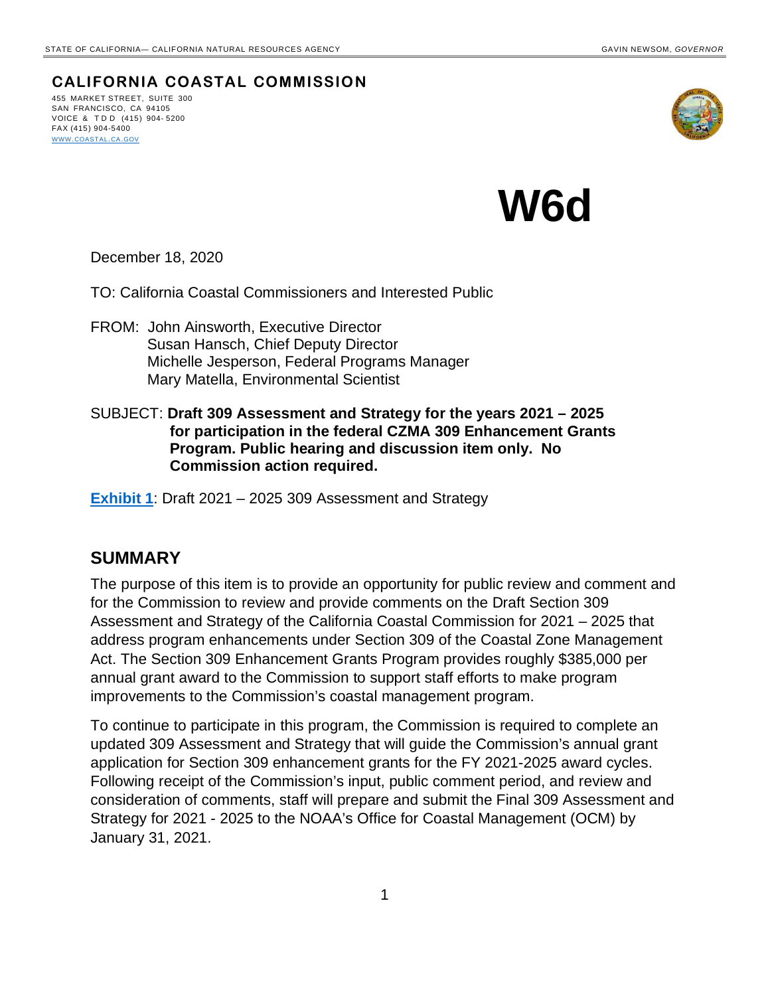**CALIFORNIA COASTAL COMMISSION** 455 MARKET STREET, SUITE 300 SAN FRANCISCO, CA 94105

VOICE & TDD (415) 904- 5200 FAX (415) 904-5400 [WWW.COASTAL.CA.GOV](about:blank)



**W6d**

December 18, 2020

TO: California Coastal Commissioners and Interested Public

- FROM: John Ainsworth, Executive Director Susan Hansch, Chief Deputy Director Michelle Jesperson, Federal Programs Manager Mary Matella, Environmental Scientist
- SUBJECT: **Draft 309 Assessment and Strategy for the years 2021 2025 for participation in the federal CZMA 309 Enhancement Grants Program. Public hearing and discussion item only. No Commission action required.**

**[Exhibit 1](https://documents.coastal.ca.gov/reports/2021/1/W6d/W6d-1-2021-exhibits.pdf)**: Draft 2021 – 2025 309 Assessment and Strategy

## **SUMMARY**

The purpose of this item is to provide an opportunity for public review and comment and for the Commission to review and provide comments on the Draft Section 309 Assessment and Strategy of the California Coastal Commission for 2021 – 2025 that address program enhancements under Section 309 of the Coastal Zone Management Act. The Section 309 Enhancement Grants Program provides roughly \$385,000 per annual grant award to the Commission to support staff efforts to make program improvements to the Commission's coastal management program.

To continue to participate in this program, the Commission is required to complete an updated 309 Assessment and Strategy that will guide the Commission's annual grant application for Section 309 enhancement grants for the FY 2021-2025 award cycles. Following receipt of the Commission's input, public comment period, and review and consideration of comments, staff will prepare and submit the Final 309 Assessment and Strategy for 2021 - 2025 to the NOAA's Office for Coastal Management (OCM) by January 31, 2021.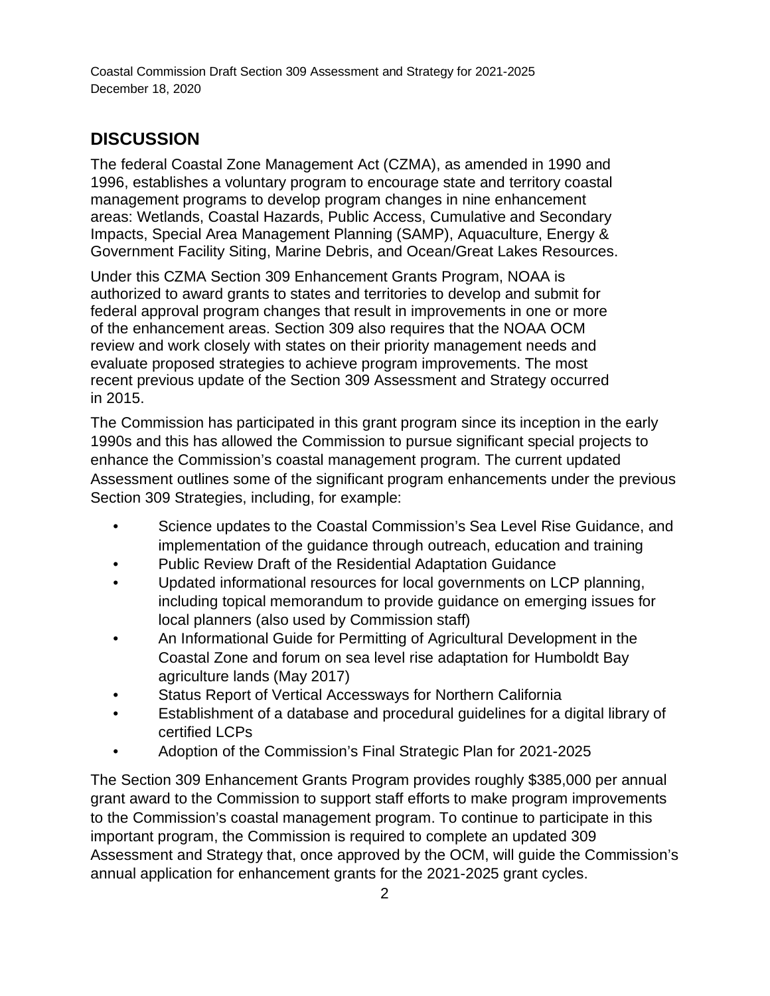Coastal Commission Draft Section 309 Assessment and Strategy for 2021-2025 December 18, 2020

## **DISCUSSION**

The federal Coastal Zone Management Act (CZMA), as amended in 1990 and 1996, establishes a voluntary program to encourage state and territory coastal management programs to develop program changes in nine enhancement areas: Wetlands, Coastal Hazards, Public Access, Cumulative and Secondary Impacts, Special Area Management Planning (SAMP), Aquaculture, Energy & Government Facility Siting, Marine Debris, and Ocean/Great Lakes Resources.

Under this CZMA Section 309 Enhancement Grants Program, NOAA is authorized to award grants to states and territories to develop and submit for federal approval program changes that result in improvements in one or more of the enhancement areas. Section 309 also requires that the NOAA OCM review and work closely with states on their priority management needs and evaluate proposed strategies to achieve program improvements. The most recent previous update of the Section 309 Assessment and Strategy occurred in 2015.

The Commission has participated in this grant program since its inception in the early 1990s and this has allowed the Commission to pursue significant special projects to enhance the Commission's coastal management program. The current updated Assessment outlines some of the significant program enhancements under the previous Section 309 Strategies, including, for example:

- Science updates to the Coastal Commission's Sea Level Rise Guidance, and implementation of the guidance through outreach, education and training
- Public Review Draft of the Residential Adaptation Guidance
- Updated informational resources for local governments on LCP planning, including topical memorandum to provide guidance on emerging issues for local planners (also used by Commission staff)
- An Informational Guide for Permitting of Agricultural Development in the Coastal Zone and forum on sea level rise adaptation for Humboldt Bay agriculture lands (May 2017)
- Status Report of Vertical Accessways for Northern California
- Establishment of a database and procedural guidelines for a digital library of certified LCPs
- Adoption of the Commission's Final Strategic Plan for 2021-2025

The Section 309 Enhancement Grants Program provides roughly \$385,000 per annual grant award to the Commission to support staff efforts to make program improvements to the Commission's coastal management program. To continue to participate in this important program, the Commission is required to complete an updated 309 Assessment and Strategy that, once approved by the OCM, will guide the Commission's annual application for enhancement grants for the 2021-2025 grant cycles.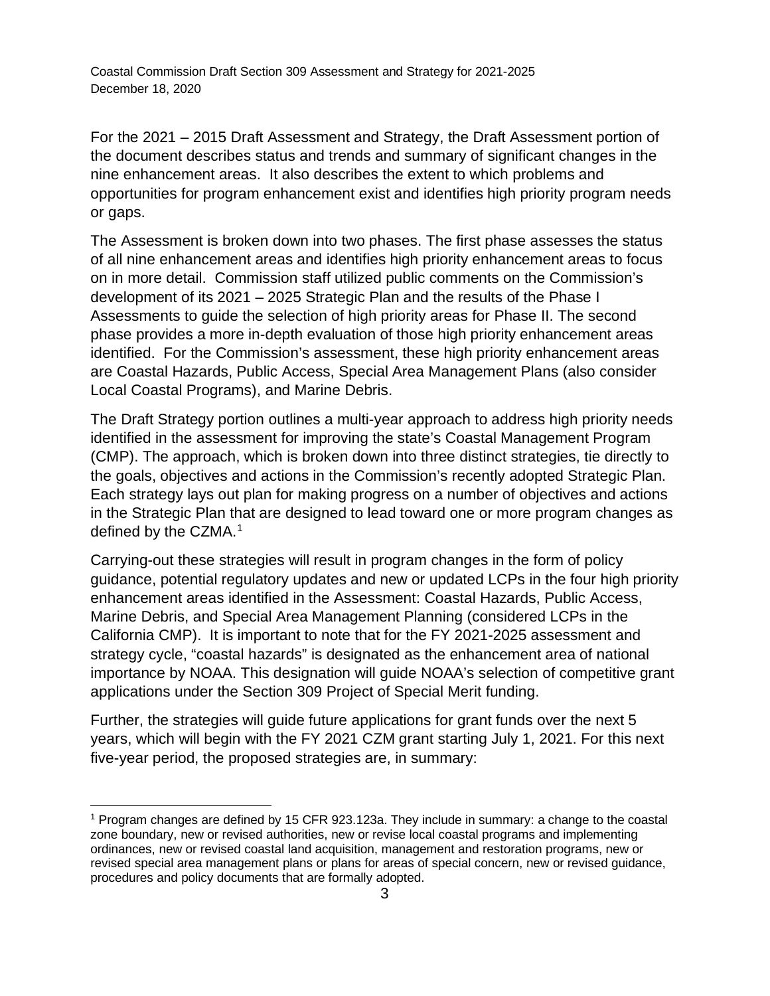Coastal Commission Draft Section 309 Assessment and Strategy for 2021-2025 December 18, 2020

For the 2021 – 2015 Draft Assessment and Strategy, the Draft Assessment portion of the document describes status and trends and summary of significant changes in the nine enhancement areas. It also describes the extent to which problems and opportunities for program enhancement exist and identifies high priority program needs or gaps.

The Assessment is broken down into two phases. The first phase assesses the status of all nine enhancement areas and identifies high priority enhancement areas to focus on in more detail. Commission staff utilized public comments on the Commission's development of its 2021 – 2025 Strategic Plan and the results of the Phase I Assessments to guide the selection of high priority areas for Phase II. The second phase provides a more in-depth evaluation of those high priority enhancement areas identified. For the Commission's assessment, these high priority enhancement areas are Coastal Hazards, Public Access, Special Area Management Plans (also consider Local Coastal Programs), and Marine Debris.

The Draft Strategy portion outlines a multi-year approach to address high priority needs identified in the assessment for improving the state's Coastal Management Program (CMP). The approach, which is broken down into three distinct strategies, tie directly to the goals, objectives and actions in the Commission's recently adopted Strategic Plan. Each strategy lays out plan for making progress on a number of objectives and actions in the Strategic Plan that are designed to lead toward one or more program changes as defined by the CZMA. [1](#page-2-0) 

Carrying-out these strategies will result in program changes in the form of policy guidance, potential regulatory updates and new or updated LCPs in the four high priority enhancement areas identified in the Assessment: Coastal Hazards, Public Access, Marine Debris, and Special Area Management Planning (considered LCPs in the California CMP). It is important to note that for the FY 2021-2025 assessment and strategy cycle, "coastal hazards" is designated as the enhancement area of national importance by NOAA. This designation will guide NOAA's selection of competitive grant applications under the Section 309 Project of Special Merit funding.

Further, the strategies will guide future applications for grant funds over the next 5 years, which will begin with the FY 2021 CZM grant starting July 1, 2021. For this next five-year period, the proposed strategies are, in summary:

<span id="page-2-0"></span><sup>1</sup> Program changes are defined by 15 CFR 923.123a. They include in summary: a change to the coastal zone boundary, new or revised authorities, new or revise local coastal programs and implementing ordinances, new or revised coastal land acquisition, management and restoration programs, new or revised special area management plans or plans for areas of special concern, new or revised guidance, procedures and policy documents that are formally adopted.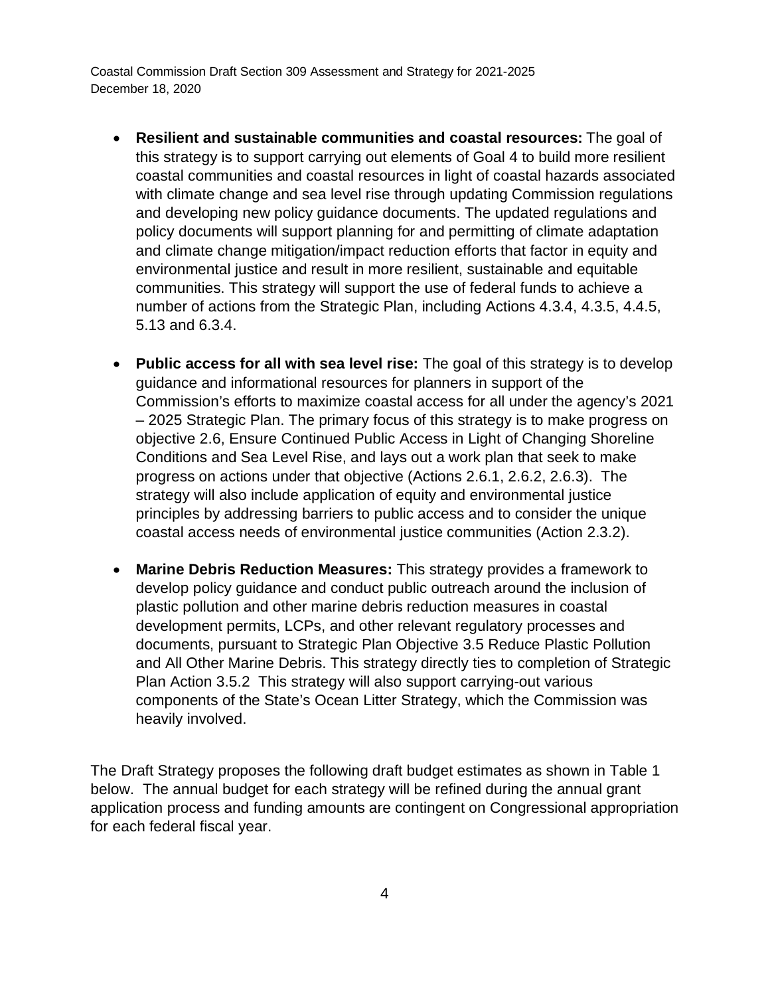Coastal Commission Draft Section 309 Assessment and Strategy for 2021-2025 December 18, 2020

- **Resilient and sustainable communities and coastal resources:** The goal of this strategy is to support carrying out elements of Goal 4 to build more resilient coastal communities and coastal resources in light of coastal hazards associated with climate change and sea level rise through updating Commission regulations and developing new policy guidance documents. The updated regulations and policy documents will support planning for and permitting of climate adaptation and climate change mitigation/impact reduction efforts that factor in equity and environmental justice and result in more resilient, sustainable and equitable communities. This strategy will support the use of federal funds to achieve a number of actions from the Strategic Plan, including Actions 4.3.4, 4.3.5, 4.4.5, 5.13 and 6.3.4.
- **Public access for all with sea level rise:** The goal of this strategy is to develop guidance and informational resources for planners in support of the Commission's efforts to maximize coastal access for all under the agency's 2021 – 2025 Strategic Plan. The primary focus of this strategy is to make progress on objective 2.6, Ensure Continued Public Access in Light of Changing Shoreline Conditions and Sea Level Rise, and lays out a work plan that seek to make progress on actions under that objective (Actions 2.6.1, 2.6.2, 2.6.3). The strategy will also include application of equity and environmental justice principles by addressing barriers to public access and to consider the unique coastal access needs of environmental justice communities (Action 2.3.2).
- **Marine Debris Reduction Measures:** This strategy provides a framework to develop policy guidance and conduct public outreach around the inclusion of plastic pollution and other marine debris reduction measures in coastal development permits, LCPs, and other relevant regulatory processes and documents, pursuant to Strategic Plan Objective 3.5 Reduce Plastic Pollution and All Other Marine Debris. This strategy directly ties to completion of Strategic Plan Action 3.5.2 This strategy will also support carrying-out various components of the State's Ocean Litter Strategy, which the Commission was heavily involved.

The Draft Strategy proposes the following draft budget estimates as shown in Table 1 below. The annual budget for each strategy will be refined during the annual grant application process and funding amounts are contingent on Congressional appropriation for each federal fiscal year.